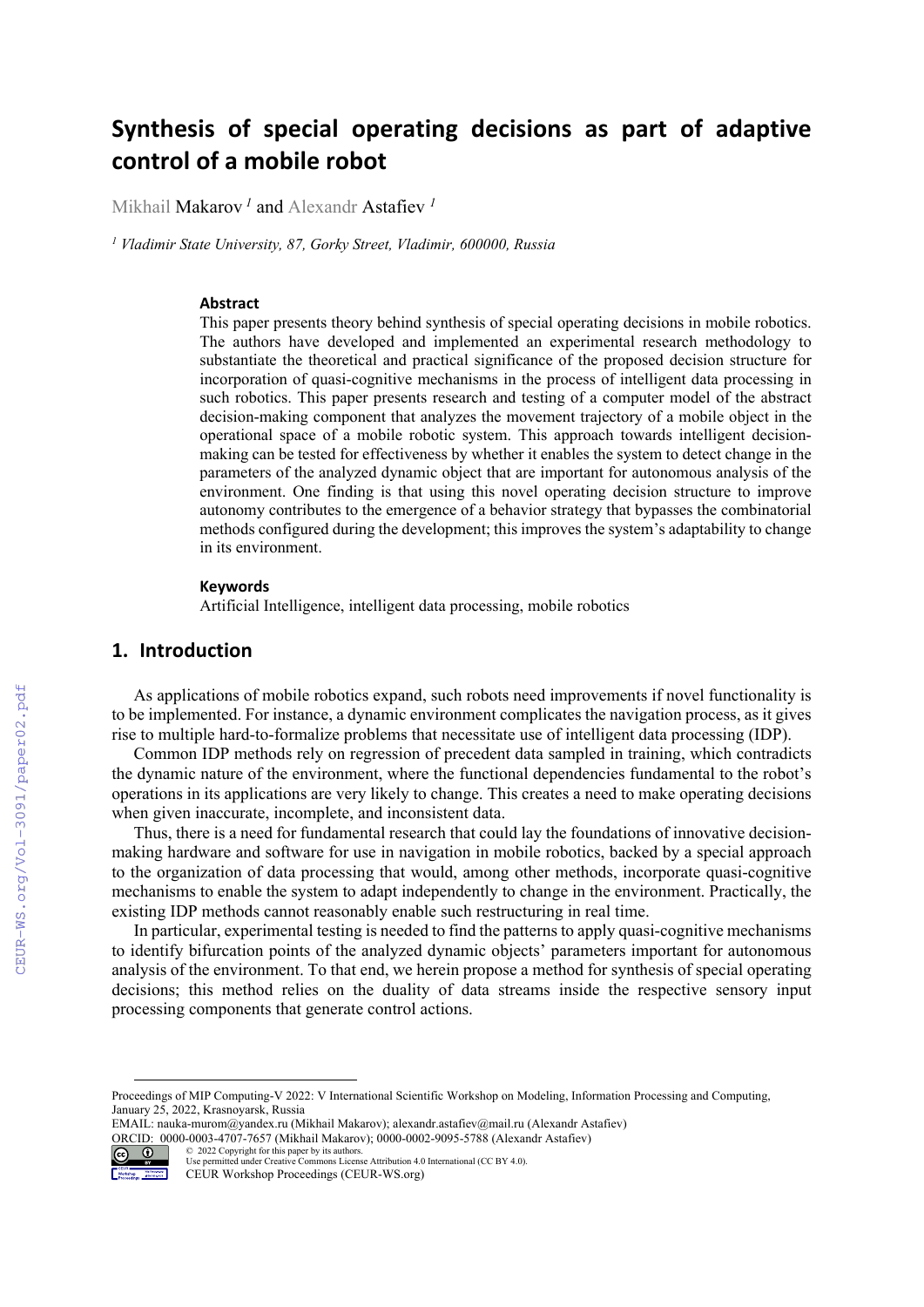# **Synthesis of special operating decisions as part of adaptive control of a mobile robot**

Mikhail Makarov *<sup>1</sup>* and Alexandr Astafiev *<sup>1</sup>*

<sup>1</sup> Vladimir State University, 87, Gorky Street, Vladimir, 600000, Russia

#### **Abstract**

This paper presents theory behind synthesis of special operating decisions in mobile robotics. The authors have developed and implemented an experimental research methodology to substantiate the theoretical and practical significance of the proposed decision structure for incorporation of quasi-cognitive mechanisms in the process of intelligent data processing in such robotics. This paper presents research and testing of a computer model of the abstract decision-making component that analyzes the movement trajectory of a mobile object in the operational space of a mobile robotic system. This approach towards intelligent decisionmaking can be tested for effectiveness by whether it enables the system to detect change in the parameters of the analyzed dynamic object that are important for autonomous analysis of the environment. One finding is that using this novel operating decision structure to improve autonomy contributes to the emergence of a behavior strategy that bypasses the combinatorial methods configured during the development; this improves the system's adaptability to change in its environment.

#### **Keywords 1**

Artificial Intelligence, intelligent data processing, mobile robotics

# **1. Introduction**

As applications of mobile robotics expand, such robots need improvements if novel functionality is to be implemented. For instance, a dynamic environment complicates the navigation process, as it gives rise to multiple hard-to-formalize problems that necessitate use of intelligent data processing (IDP).

Common IDP methods rely on regression of precedent data sampled in training, which contradicts the dynamic nature of the environment, where the functional dependencies fundamental to the robot's operations in its applications are very likely to change. This creates a need to make operating decisions when given inaccurate, incomplete, and inconsistent data.

Thus, there is a need for fundamental research that could lay the foundations of innovative decisionmaking hardware and software for use in navigation in mobile robotics, backed by a special approach to the organization of data processing that would, among other methods, incorporate quasi-cognitive mechanisms to enable the system to adapt independently to change in the environment. Practically, the existing IDP methods cannot reasonably enable such restructuring in real time.

In particular, experimental testing is needed to find the patterns to apply quasi-cognitive mechanisms to identify bifurcation points of the analyzed dynamic objects' parameters important for autonomous analysis of the environment. To that end, we herein propose a method for synthesis of special operating decisions; this method relies on the duality of data streams inside the respective sensory input processing components that generate control actions.

EMAIL: nauka-murom@yandex.ru (Mikhail Makarov); alexandr.astafiev@mail.ru (Alexandr Astafiev) ORCID: 0000-0003-4707-7657 (Mikhail Makarov); 0000-0002-9095-5788 (Alexandr Astafiev) © 2022 Copyright for this paper by its authors.



Use permitted under Creative Commons License Attribution 4.0 International (CC BY 4.0). CEUR Workshop Proceedings (CEUR-WS.org)

Proceedings of MIP Computing-V 2022: V International Scientific Workshop on Modeling, Information Processing and Computing, January 25, 2022, Krasnoyarsk, Russia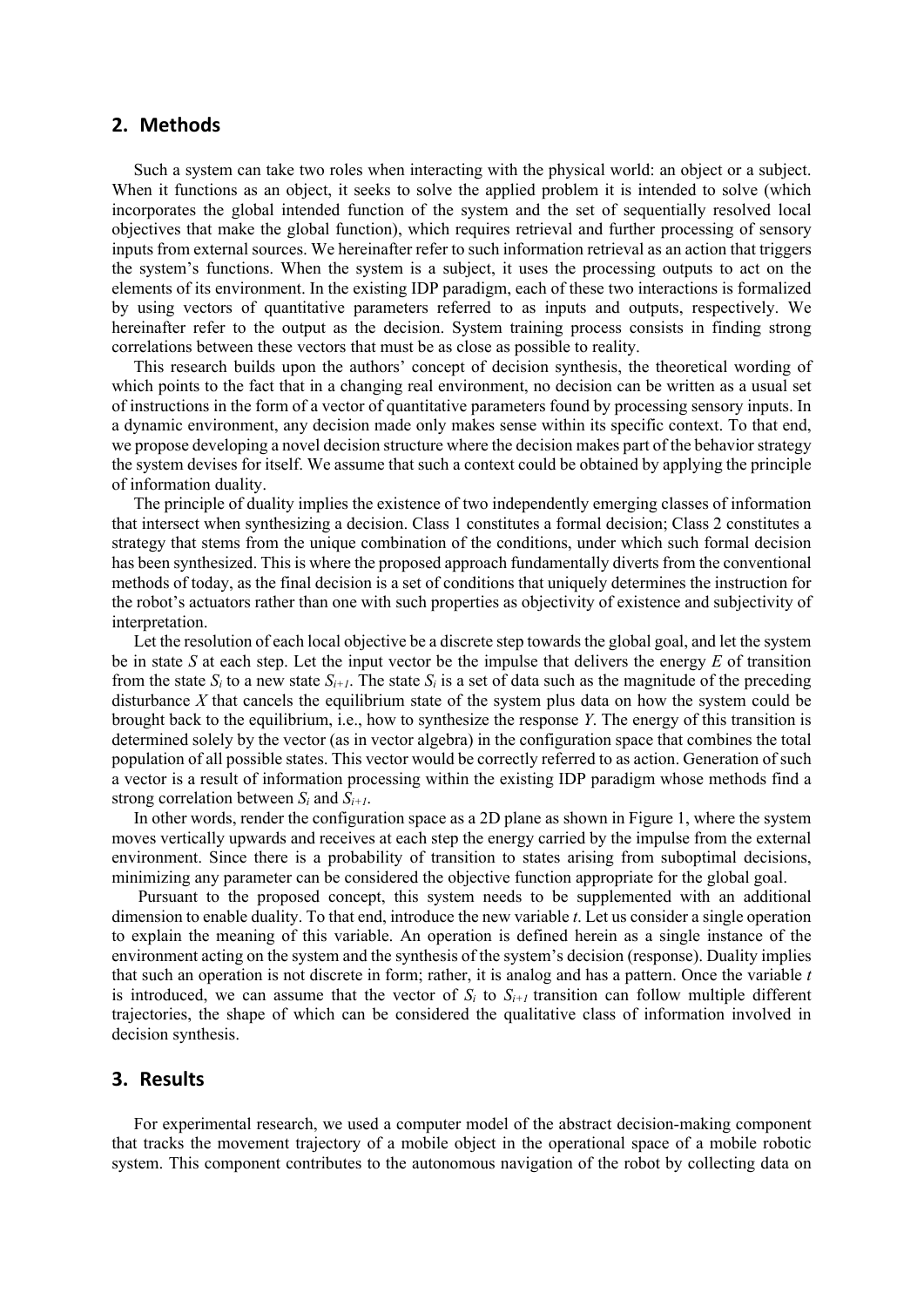### **2. Methods**

Such a system can take two roles when interacting with the physical world: an object or a subject. When it functions as an object, it seeks to solve the applied problem it is intended to solve (which incorporates the global intended function of the system and the set of sequentially resolved local objectives that make the global function), which requires retrieval and further processing of sensory inputs from external sources. We hereinafter refer to such information retrieval as an action that triggers the system's functions. When the system is a subject, it uses the processing outputs to act on the elements of its environment. In the existing IDP paradigm, each of these two interactions is formalized by using vectors of quantitative parameters referred to as inputs and outputs, respectively. We hereinafter refer to the output as the decision. System training process consists in finding strong correlations between these vectors that must be as close as possible to reality.

This research builds upon the authors' concept of decision synthesis, the theoretical wording of which points to the fact that in a changing real environment, no decision can be written as a usual set of instructions in the form of a vector of quantitative parameters found by processing sensory inputs. In a dynamic environment, any decision made only makes sense within its specific context. To that end, we propose developing a novel decision structure where the decision makes part of the behavior strategy the system devises for itself. We assume that such a context could be obtained by applying the principle of information duality.

The principle of duality implies the existence of two independently emerging classes of information that intersect when synthesizing a decision. Class 1 constitutes a formal decision; Class 2 constitutes a strategy that stems from the unique combination of the conditions, under which such formal decision has been synthesized. This is where the proposed approach fundamentally diverts from the conventional methods of today, as the final decision is a set of conditions that uniquely determines the instruction for the robot's actuators rather than one with such properties as objectivity of existence and subjectivity of interpretation.

Let the resolution of each local objective be a discrete step towards the global goal, and let the system be in state *S* at each step. Let the input vector be the impulse that delivers the energy *E* of transition from the state  $S_i$  to a new state  $S_{i+1}$ . The state  $S_i$  is a set of data such as the magnitude of the preceding disturbance *X* that cancels the equilibrium state of the system plus data on how the system could be brought back to the equilibrium, i.e., how to synthesize the response *Y*. The energy of this transition is determined solely by the vector (as in vector algebra) in the configuration space that combines the total population of all possible states. This vector would be correctly referred to as action. Generation of such a vector is a result of information processing within the existing IDP paradigm whose methods find a strong correlation between *Si* and *Si+1*.

In other words, render the configuration space as a 2D plane as shown in Figure 1, where the system moves vertically upwards and receives at each step the energy carried by the impulse from the external environment. Since there is a probability of transition to states arising from suboptimal decisions, minimizing any parameter can be considered the objective function appropriate for the global goal.

 Pursuant to the proposed concept, this system needs to be supplemented with an additional dimension to enable duality. To that end, introduce the new variable *t*. Let us consider a single operation to explain the meaning of this variable. An operation is defined herein as a single instance of the environment acting on the system and the synthesis of the system's decision (response). Duality implies that such an operation is not discrete in form; rather, it is analog and has a pattern. Once the variable *t* is introduced, we can assume that the vector of  $S_i$  to  $S_{i+1}$  transition can follow multiple different trajectories, the shape of which can be considered the qualitative class of information involved in decision synthesis.

## **3. Results**

For experimental research, we used a computer model of the abstract decision-making component that tracks the movement trajectory of a mobile object in the operational space of a mobile robotic system. This component contributes to the autonomous navigation of the robot by collecting data on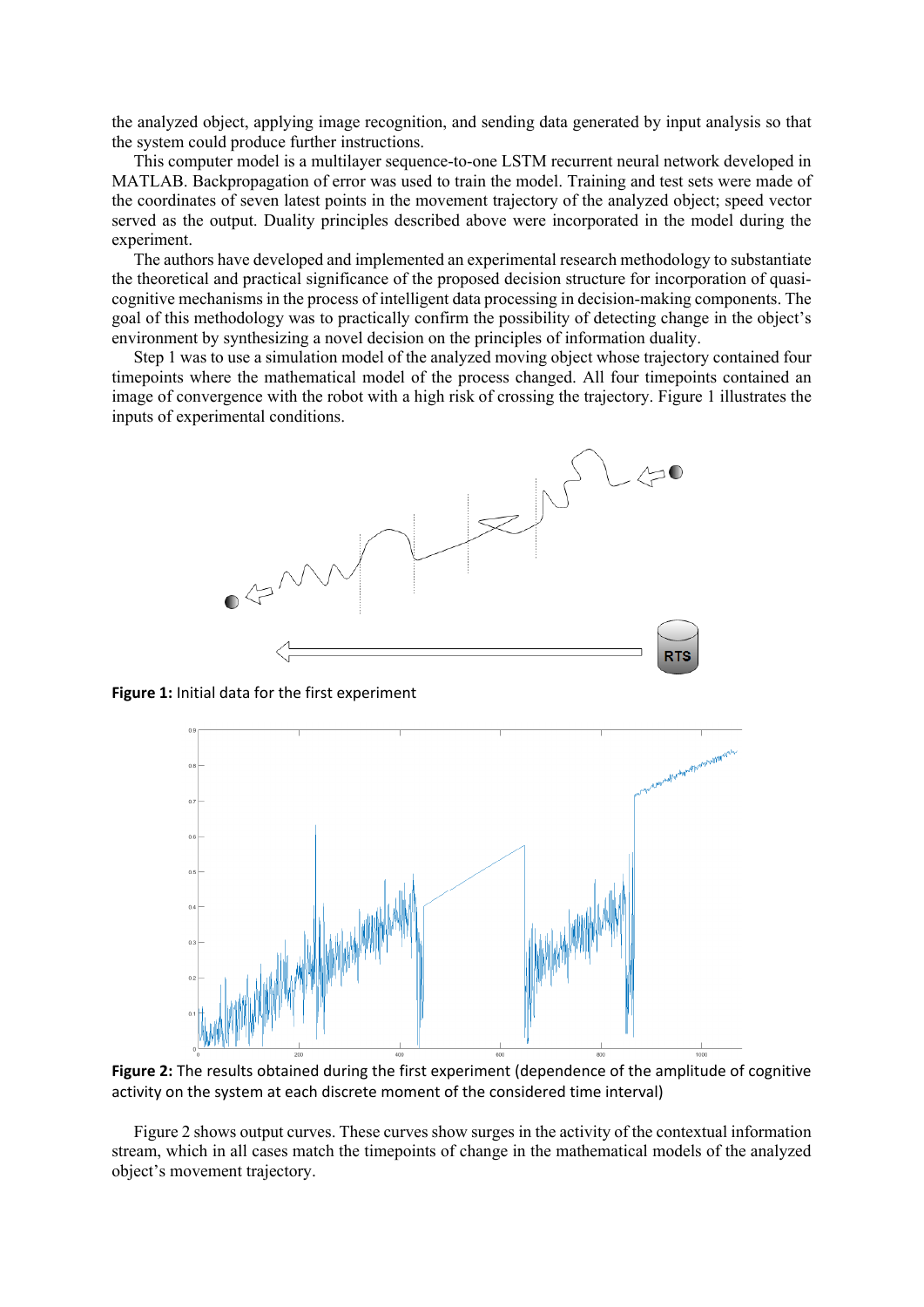the analyzed object, applying image recognition, and sending data generated by input analysis so that the system could produce further instructions.

This computer model is a multilayer sequence-to-one LSTM recurrent neural network developed in MATLAB. Backpropagation of error was used to train the model. Training and test sets were made of the coordinates of seven latest points in the movement trajectory of the analyzed object; speed vector served as the output. Duality principles described above were incorporated in the model during the experiment.

The authors have developed and implemented an experimental research methodology to substantiate the theoretical and practical significance of the proposed decision structure for incorporation of quasicognitive mechanisms in the process of intelligent data processing in decision-making components. The goal of this methodology was to practically confirm the possibility of detecting change in the object's environment by synthesizing a novel decision on the principles of information duality.

Step 1 was to use a simulation model of the analyzed moving object whose trajectory contained four timepoints where the mathematical model of the process changed. All four timepoints contained an image of convergence with the robot with a high risk of crossing the trajectory. Figure 1 illustrates the inputs of experimental conditions.



**Figure 1:** Initial data for the first experiment



**Figure 2:** The results obtained during the first experiment (dependence of the amplitude of cognitive activity on the system at each discrete moment of the considered time interval)

Figure 2 shows output curves. These curves show surges in the activity of the contextual information stream, which in all cases match the timepoints of change in the mathematical models of the analyzed object's movement trajectory.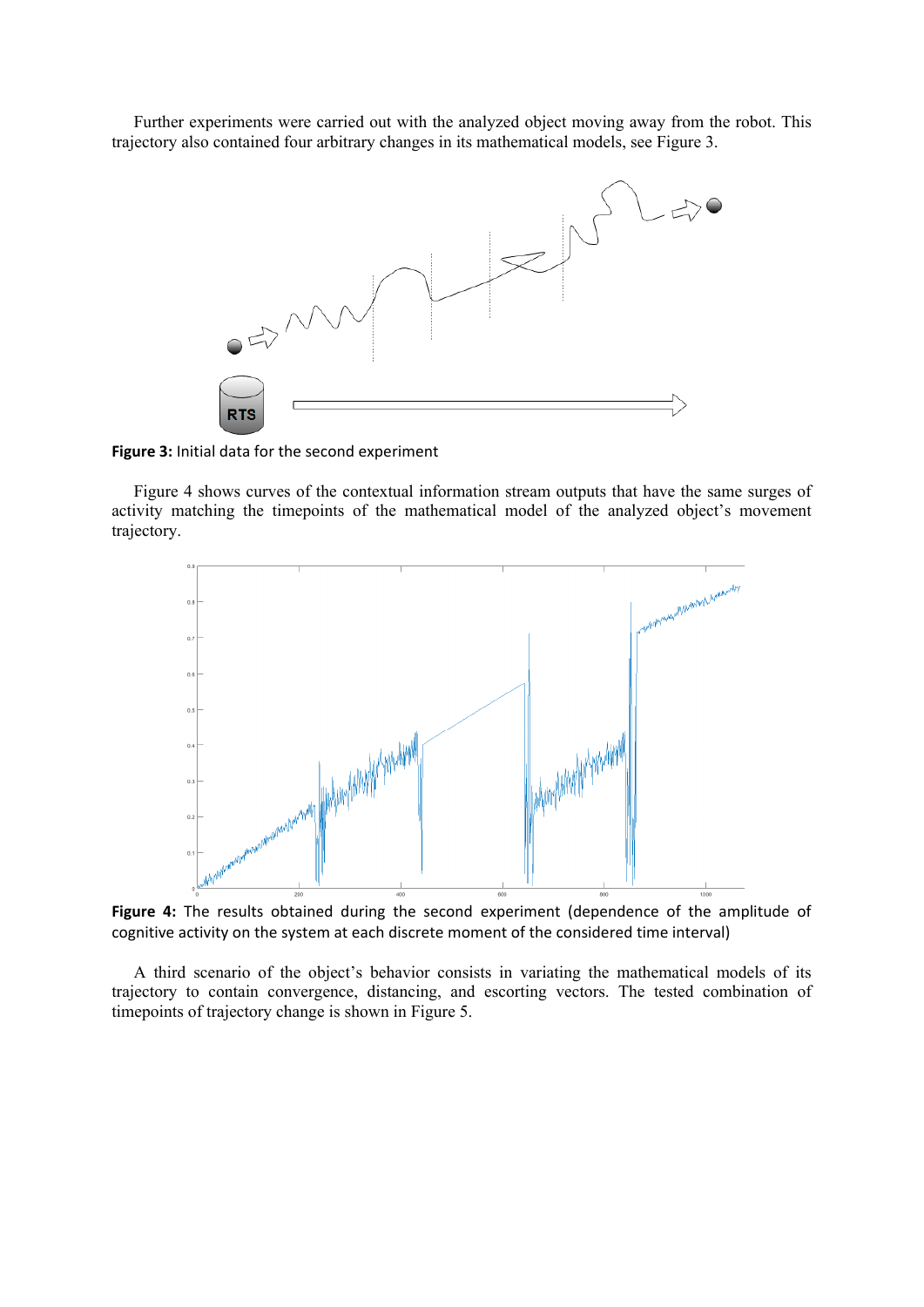Further experiments were carried out with the analyzed object moving away from the robot. This trajectory also contained four arbitrary changes in its mathematical models, see Figure 3.



**Figure 3:** Initial data for the second experiment

Figure 4 shows curves of the contextual information stream outputs that have the same surges of activity matching the timepoints of the mathematical model of the analyzed object's movement trajectory.



**Figure 4:** The results obtained during the second experiment (dependence of the amplitude of cognitive activity on the system at each discrete moment of the considered time interval)

A third scenario of the object's behavior consists in variating the mathematical models of its trajectory to contain convergence, distancing, and escorting vectors. The tested combination of timepoints of trajectory change is shown in Figure 5.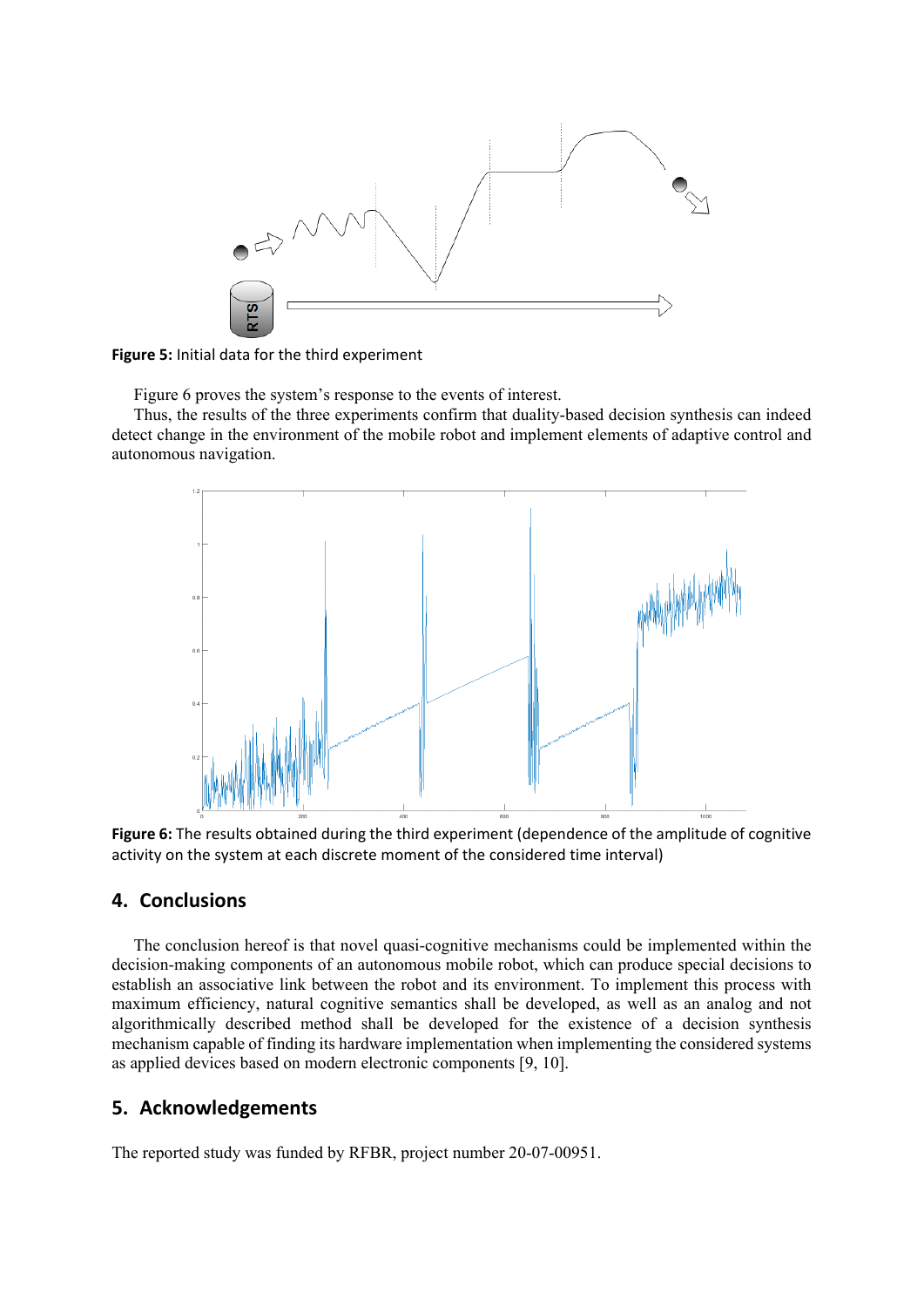

**Figure 5:** Initial data for the third experiment

Figure 6 proves the system's response to the events of interest.

Thus, the results of the three experiments confirm that duality-based decision synthesis can indeed detect change in the environment of the mobile robot and implement elements of adaptive control and autonomous navigation.



**Figure 6:** The results obtained during the third experiment (dependence of the amplitude of cognitive activity on the system at each discrete moment of the considered time interval)

# **4. Conclusions**

The conclusion hereof is that novel quasi-cognitive mechanisms could be implemented within the decision-making components of an autonomous mobile robot, which can produce special decisions to establish an associative link between the robot and its environment. To implement this process with maximum efficiency, natural cognitive semantics shall be developed, as well as an analog and not algorithmically described method shall be developed for the existence of a decision synthesis mechanism capable of finding its hardware implementation when implementing the considered systems as applied devices based on modern electronic components [9, 10].

# **5. Acknowledgements**

The reported study was funded by RFBR, project number 20-07-00951.